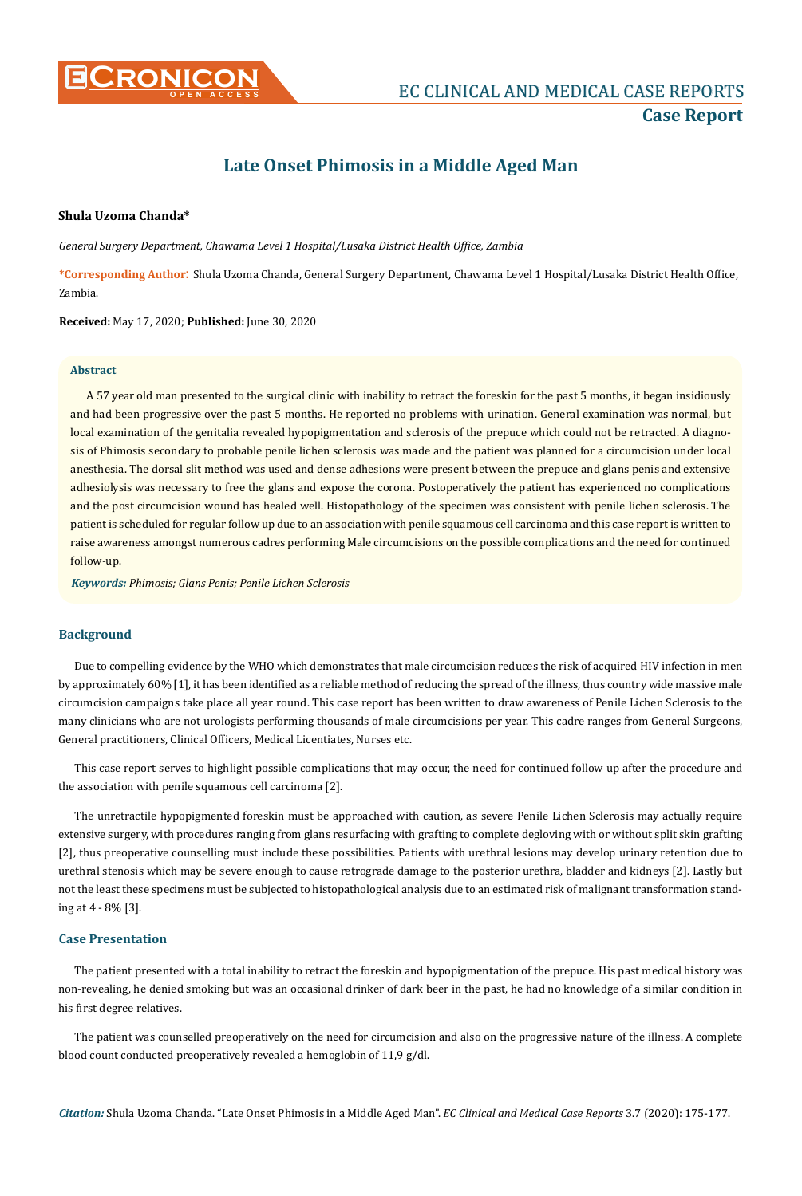

# **Late Onset Phimosis in a Middle Aged Man**

## **Shula Uzoma Chanda\***

*General Surgery Department, Chawama Level 1 Hospital/Lusaka District Health Office, Zambia*

**\*Corresponding Author**: Shula Uzoma Chanda, General Surgery Department, Chawama Level 1 Hospital/Lusaka District Health Office, Zambia.

**Received:** May 17, 2020; **Published:** June 30, 2020

#### **Abstract**

A 57 year old man presented to the surgical clinic with inability to retract the foreskin for the past 5 months, it began insidiously and had been progressive over the past 5 months. He reported no problems with urination. General examination was normal, but local examination of the genitalia revealed hypopigmentation and sclerosis of the prepuce which could not be retracted. A diagnosis of Phimosis secondary to probable penile lichen sclerosis was made and the patient was planned for a circumcision under local anesthesia. The dorsal slit method was used and dense adhesions were present between the prepuce and glans penis and extensive adhesiolysis was necessary to free the glans and expose the corona. Postoperatively the patient has experienced no complications and the post circumcision wound has healed well. Histopathology of the specimen was consistent with penile lichen sclerosis. The patient is scheduled for regular follow up due to an association with penile squamous cell carcinoma and this case report is written to raise awareness amongst numerous cadres performing Male circumcisions on the possible complications and the need for continued follow-up.

*Keywords: Phimosis; Glans Penis; Penile Lichen Sclerosis*

## **Background**

Due to compelling evidence by the WHO which demonstrates that male circumcision reduces the risk of acquired HIV infection in men by approximately 60% [1], it has been identified as a reliable method of reducing the spread of the illness, thus country wide massive male circumcision campaigns take place all year round. This case report has been written to draw awareness of Penile Lichen Sclerosis to the many clinicians who are not urologists performing thousands of male circumcisions per year. This cadre ranges from General Surgeons, General practitioners, Clinical Officers, Medical Licentiates, Nurses etc.

This case report serves to highlight possible complications that may occur, the need for continued follow up after the procedure and the association with penile squamous cell carcinoma [2].

The unretractile hypopigmented foreskin must be approached with caution, as severe Penile Lichen Sclerosis may actually require extensive surgery, with procedures ranging from glans resurfacing with grafting to complete degloving with or without split skin grafting [2], thus preoperative counselling must include these possibilities. Patients with urethral lesions may develop urinary retention due to urethral stenosis which may be severe enough to cause retrograde damage to the posterior urethra, bladder and kidneys [2]. Lastly but not the least these specimens must be subjected to histopathological analysis due to an estimated risk of malignant transformation standing at 4 - 8% [3].

### **Case Presentation**

The patient presented with a total inability to retract the foreskin and hypopigmentation of the prepuce. His past medical history was non-revealing, he denied smoking but was an occasional drinker of dark beer in the past, he had no knowledge of a similar condition in his first degree relatives.

The patient was counselled preoperatively on the need for circumcision and also on the progressive nature of the illness. A complete blood count conducted preoperatively revealed a hemoglobin of 11,9 g/dl.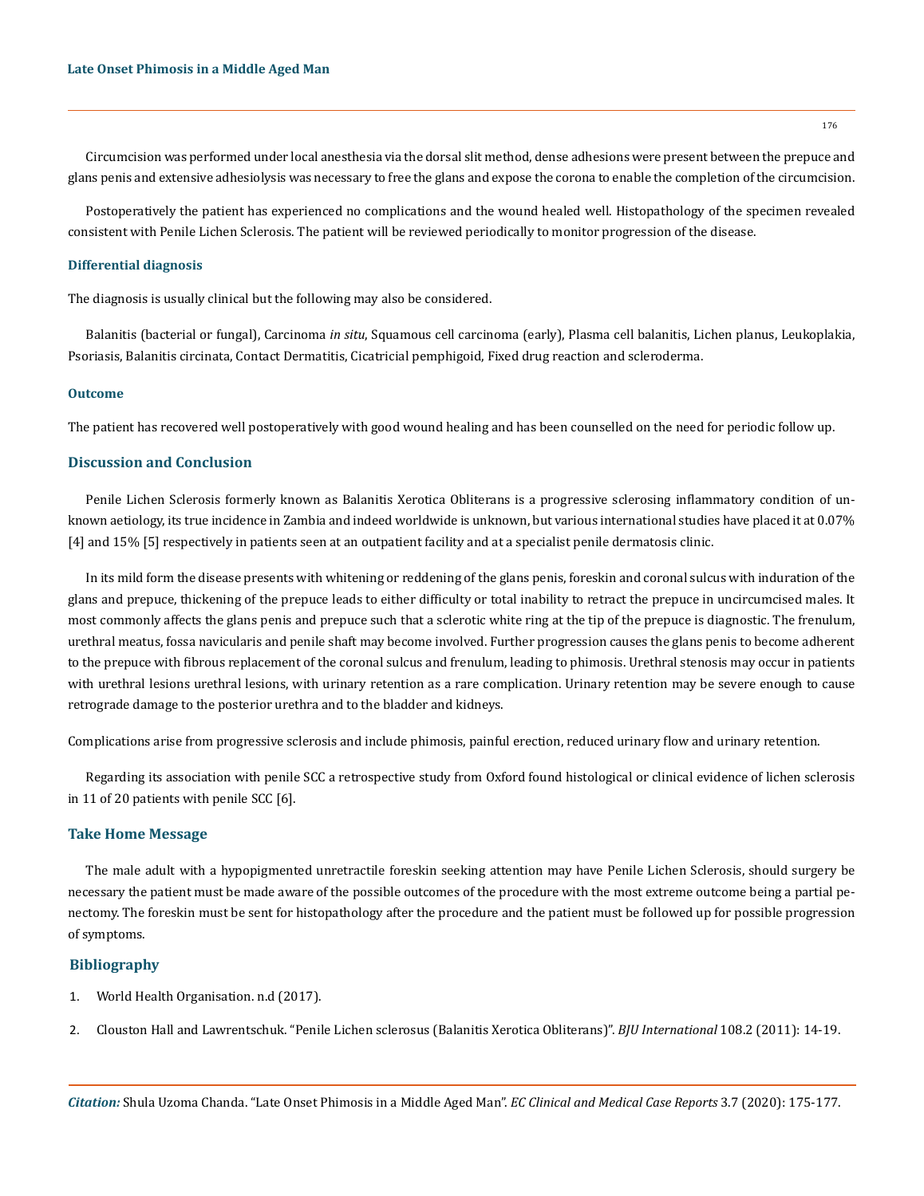Circumcision was performed under local anesthesia via the dorsal slit method, dense adhesions were present between the prepuce and glans penis and extensive adhesiolysis was necessary to free the glans and expose the corona to enable the completion of the circumcision.

Postoperatively the patient has experienced no complications and the wound healed well. Histopathology of the specimen revealed consistent with Penile Lichen Sclerosis. The patient will be reviewed periodically to monitor progression of the disease.

#### **Differential diagnosis**

The diagnosis is usually clinical but the following may also be considered.

Balanitis (bacterial or fungal), Carcinoma *in situ*, Squamous cell carcinoma (early), Plasma cell balanitis, Lichen planus, Leukoplakia, Psoriasis, Balanitis circinata, Contact Dermatitis, Cicatricial pemphigoid, Fixed drug reaction and scleroderma.

#### **Outcome**

The patient has recovered well postoperatively with good wound healing and has been counselled on the need for periodic follow up.

#### **Discussion and Conclusion**

Penile Lichen Sclerosis formerly known as Balanitis Xerotica Obliterans is a progressive sclerosing inflammatory condition of unknown aetiology, its true incidence in Zambia and indeed worldwide is unknown, but various international studies have placed it at 0.07% [4] and 15% [5] respectively in patients seen at an outpatient facility and at a specialist penile dermatosis clinic.

In its mild form the disease presents with whitening or reddening of the glans penis, foreskin and coronal sulcus with induration of the glans and prepuce, thickening of the prepuce leads to either difficulty or total inability to retract the prepuce in uncircumcised males. It most commonly affects the glans penis and prepuce such that a sclerotic white ring at the tip of the prepuce is diagnostic. The frenulum, urethral meatus, fossa navicularis and penile shaft may become involved. Further progression causes the glans penis to become adherent to the prepuce with fibrous replacement of the coronal sulcus and frenulum, leading to phimosis. Urethral stenosis may occur in patients with urethral lesions urethral lesions, with urinary retention as a rare complication. Urinary retention may be severe enough to cause retrograde damage to the posterior urethra and to the bladder and kidneys.

Complications arise from progressive sclerosis and include phimosis, painful erection, reduced urinary flow and urinary retention.

Regarding its association with penile SCC a retrospective study from Oxford found histological or clinical evidence of lichen sclerosis in 11 of 20 patients with penile SCC [6].

#### **Take Home Message**

The male adult with a hypopigmented unretractile foreskin seeking attention may have Penile Lichen Sclerosis, should surgery be necessary the patient must be made aware of the possible outcomes of the procedure with the most extreme outcome being a partial penectomy. The foreskin must be sent for histopathology after the procedure and the patient must be followed up for possible progression of symptoms.

#### **Bibliography**

- 1. [World Health Organisation. n.d \(2017\).](http://www.who.int/hiv/topics/malecircumcision/en/)
- 2. [Clouston Hall and Lawrentschuk. "Penile Lichen sclerosus \(Balanitis Xerotica Obliterans\)".](https://pubmed.ncbi.nlm.nih.gov/22085120/) *BJU International* 108.2 (2011): 14-19.

176